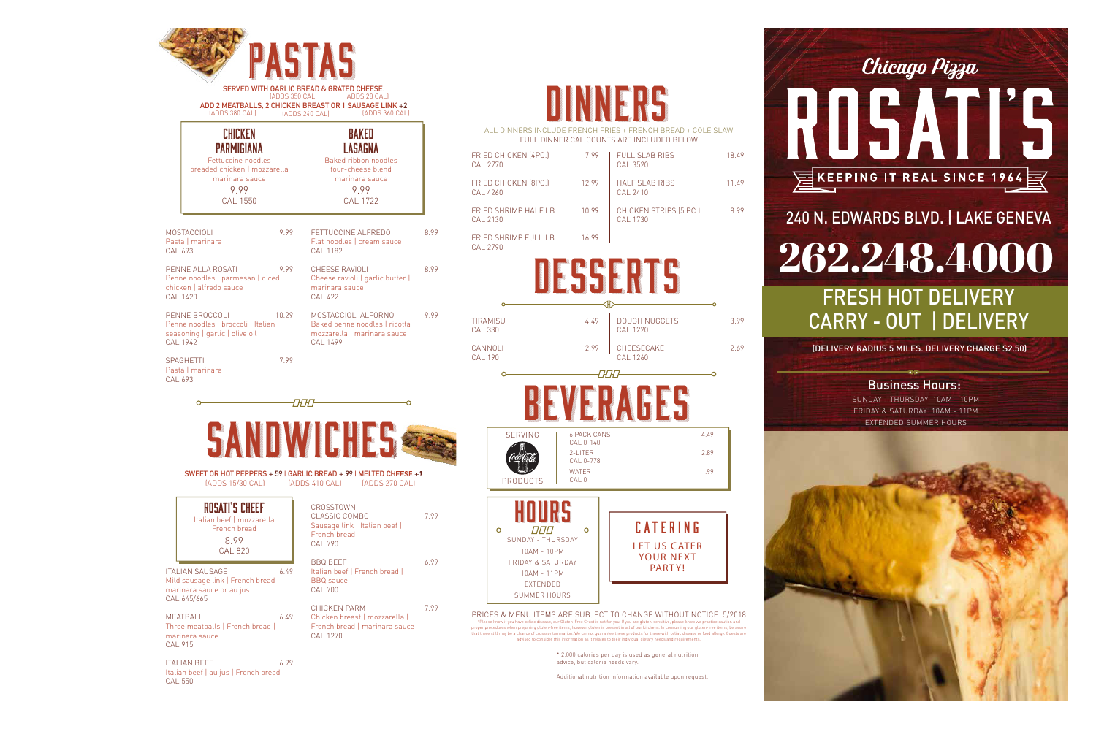|                                          |                      | ALL DINNERS INCLUDE FRENCH FRIES + FRENCH BREAD + COLE SLAW<br>FULL DINNER CAL COUNTS ARE INCLUDED BELOW |      |       |
|------------------------------------------|----------------------|----------------------------------------------------------------------------------------------------------|------|-------|
| FRIED CHICKEN (4PC.)<br><b>CAL 2770</b>  | 7.99                 | <b>FULL SLAB RIBS</b><br><b>CAL 3520</b>                                                                 |      | 18.49 |
| FRIED CHICKEN (8PC.)<br><b>CAL 4260</b>  | 12.99                | <b>HALF SLAB RIBS</b><br>CAL 2410                                                                        |      | 11.49 |
| FRIED SHRIMP HALF LB.<br><b>CAL 2130</b> | 10.99                | CHICKEN STRIPS (5 PC.)<br>CAL 1730                                                                       |      | 8.99  |
| <b>FRIED SHRIMP FULL LB</b><br>CAL 2790  | 16.99                |                                                                                                          |      |       |
|                                          |                      |                                                                                                          |      |       |
| TIRAMISU<br><b>CAL 330</b>               | 4.49                 | <b>DOUGH NUGGETS</b><br>CAL 1220                                                                         |      | 3.99  |
| CANNOLI<br><b>CAL 190</b>                | 2.99                 | CHEESECAKE<br><b>CAL 1260</b>                                                                            |      | 2.69  |
|                                          |                      |                                                                                                          |      |       |
|                                          |                      |                                                                                                          |      |       |
| <b>SERVING</b>                           | <b>1 6 PACK CANS</b> |                                                                                                          | 4.49 |       |



| (ADDS 380 CAL)                                                                                                                  | <b>SERVED WITH GARLIC BREAD &amp; GRATED CHEESE.</b><br>(ADDS 350 CAL) [ADDS 28 CAL]<br>ADD 2 MEATBALLS, 2 CHICKEN BREAST OR 1 SAUSAGE LINK +2<br>[ADDS 360 CAL]<br>(ADDS 240 CAL) |                                                                                                                        |
|---------------------------------------------------------------------------------------------------------------------------------|------------------------------------------------------------------------------------------------------------------------------------------------------------------------------------|------------------------------------------------------------------------------------------------------------------------|
| CHICKEN<br><b>PARMIGIANA</b><br>Fettuccine noodles<br>breaded chicken   mozzarella<br>marinara sauce<br>9.99<br><b>CAL 1550</b> | BAKED<br>LASAGNA<br>Baked ribbon noodles<br>four-cheese blend<br>marinara sauce<br>9.99<br><b>CAL 1722</b>                                                                         | <b>ALL</b><br><b>FRIED C</b><br><b>CAL 277</b><br><b>FRIED C</b><br><b>CAL 426</b><br><b>FRIED S</b><br><b>CAL 213</b> |
| <b>MOSTACCIOLI</b><br>999<br>Pasta I marinara<br>CAL 693                                                                        | FETTUCCINE ALFREDO<br>Flat noodles I cream sauce<br>CAL 1182                                                                                                                       | 8.99<br><b>FRIED S</b><br><b>CAL 279</b>                                                                               |
| PENNE ALLA ROSATI<br>9.99<br>Penne noodles   parmesan   diced<br>chicken   alfredo sauce<br><b>CAL 1420</b>                     | CHEESE RAVIOLI<br>Cheese ravioli   garlic butter  <br>marinara sauce<br><b>CAL 422</b>                                                                                             | 8.99                                                                                                                   |
| PENNE BROCCOLI<br>Penne noodles   broccoli   Italian<br>seasoning   garlic   olive oil<br>CAL 1942<br>7.99<br><b>SPAGHETTI</b>  | 10.29<br>MOSTACCIOLI ALFORNO<br>Baked penne noodles   ricotta  <br>mozzarella   marinara sauce<br><b>CAL 1499</b>                                                                  | 9.99<br><b>TIRAMIS</b><br><b>CAL 330</b><br>CANNOL<br><b>CAL 190</b>                                                   |
| Pasta   marinara<br>CAL 693<br>$\circ$<br>(ADDS 15/30 CAL) (ADDS 410 CAL)                                                       | <i>OCO</i><br>SANUWICHES<br>SWEET OR HOT PEPPERS + 59   GARLIC BREAD + 99   MELTED CHEESE +1<br>[ADDS 270 CAL]                                                                     |                                                                                                                        |
| ROSATI'S CHEEF<br>Italian beef   mozzarella<br>French bread<br>8.99<br><b>CAL 820</b>                                           | CROSSTOWN<br><b>CLASSIC COMBO</b><br>Sausage link   Italian beef  <br>French bread<br><b>CAL 790</b>                                                                               | 7.99                                                                                                                   |
| <b>ITALIAN SAUSAGE</b><br>6.49<br>Mild sausage link   French bread  <br>marinara sauce or au jus<br>CAL 645/665                 | <b>BBQ BEEF</b><br>Italian beef   French bread  <br><b>BBQ</b> sauce<br><b>CAL 700</b>                                                                                             | 6.99                                                                                                                   |
| <b>MEATBALL</b><br>6.49<br>Three meatballs   French bread  <br>marinara sauce<br><b>CAL 915</b>                                 | <b>CHICKEN PARM</b><br>Chicken breast   mozzarella  <br>French bread   marinara sauce<br><b>CAL 1270</b>                                                                           | 7.99<br>PRICES<br>*Please kno<br>proper procedu<br>that there still                                                    |
| 699<br><b>ITALIAN BEFF</b>                                                                                                      |                                                                                                                                                                                    |                                                                                                                        |

# DINNERS

ITALIAN BEEF 6.99 Italian beef | au jus | French bread CAL 550

ES & MENU ITEMS ARE SUBJECT TO CHANGE WITHOUT NOTICE. 5/2018 .<br>Ise, our Gluten-Free Crust is not for you. If you are gluten-sensitive, please know we practice cau edures when preparing gluten-free items, however gluten is present in all of our kitchens. In consuming our gluten-free items, be aware

CAL 0-140

2-LITER 2.89

WATER 299

CAL 0-778

 $\overline{\circ}$ 

CAL 0

HOURS

PRODUCTS

 $\circ$ 

that there still may be a chance of crosscontamination. We cannot guarantee these products for those with celiac disease or food allergy. Guests are<br>advised to consider this information as it relates to their individual di

SUNDAY - THURSDAY 10AM - 10PM FRIDAY & SATURDAY 10AM - 11PM EXTENDED SUMMER HOURS

LET US CATER YOUR NEXT PARTY!

**CATERING** 

\* 2,000 calories per day is used as general nutrition advice, but calorie needs vary.

Additional nutrition information available upon request.

#### Chicago Pizza



EXPRESS! Hot Delivery to: St. Charles, Lafox, Geneva, Mill Creek, Elburn, Batavia, North Aurora, Aurora, Campton Hills, Wasco, Lily Lake, Maple Park, South Elgin, Elgin, Wayne, West Chicago & More Areas

# 240 N. EDWARDS BLVD. | LAKE GENEVA

#### Business Hours: SUNDAY - THURSDAY 10AM - 10PM FRIDAY & SATURDAY 10AM - 11PM EXTENDED SUMMER HOURS

### 262.248.4000 FRESH HOT DELIVERY CARRY - OUT | DELIVERY

(DELIVERY RADIUS 5 MILES. DELIVERY CHARGE \$2.50)